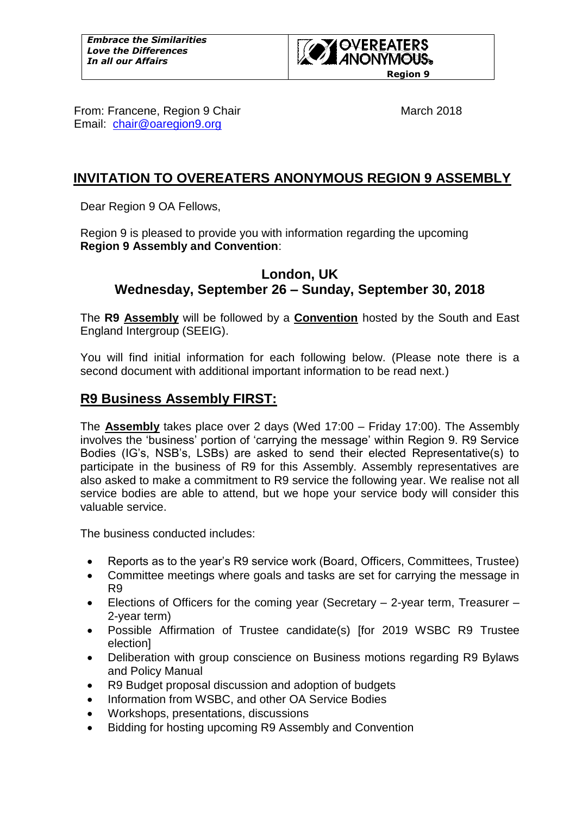

From: Francene, Region 9 Chair March 2018 Email: [chair@oaregion9.org](mailto:chair@oaregion9.org)

# **INVITATION TO OVEREATERS ANONYMOUS REGION 9 ASSEMBLY**

Dear Region 9 OA Fellows,

Region 9 is pleased to provide you with information regarding the upcoming **Region 9 Assembly and Convention**:

# **London, UK Wednesday, September 26 – Sunday, September 30, 2018**

The **R9 Assembly** will be followed by a **Convention** hosted by the South and East England Intergroup (SEEIG).

You will find initial information for each following below. (Please note there is a second document with additional important information to be read next.)

# **R9 Business Assembly FIRST:**

The **Assembly** takes place over 2 days (Wed 17:00 – Friday 17:00). The Assembly involves the 'business' portion of 'carrying the message' within Region 9. R9 Service Bodies (IG's, NSB's, LSBs) are asked to send their elected Representative(s) to participate in the business of R9 for this Assembly. Assembly representatives are also asked to make a commitment to R9 service the following year. We realise not all service bodies are able to attend, but we hope your service body will consider this valuable service.

The business conducted includes:

- Reports as to the year's R9 service work (Board, Officers, Committees, Trustee)
- Committee meetings where goals and tasks are set for carrying the message in R9
- Elections of Officers for the coming year (Secretary 2-year term, Treasurer 2-year term)
- Possible Affirmation of Trustee candidate(s) [for 2019 WSBC R9 Trustee election]
- Deliberation with group conscience on Business motions regarding R9 Bylaws and Policy Manual
- R9 Budget proposal discussion and adoption of budgets
- Information from WSBC, and other OA Service Bodies
- Workshops, presentations, discussions
- Bidding for hosting upcoming R9 Assembly and Convention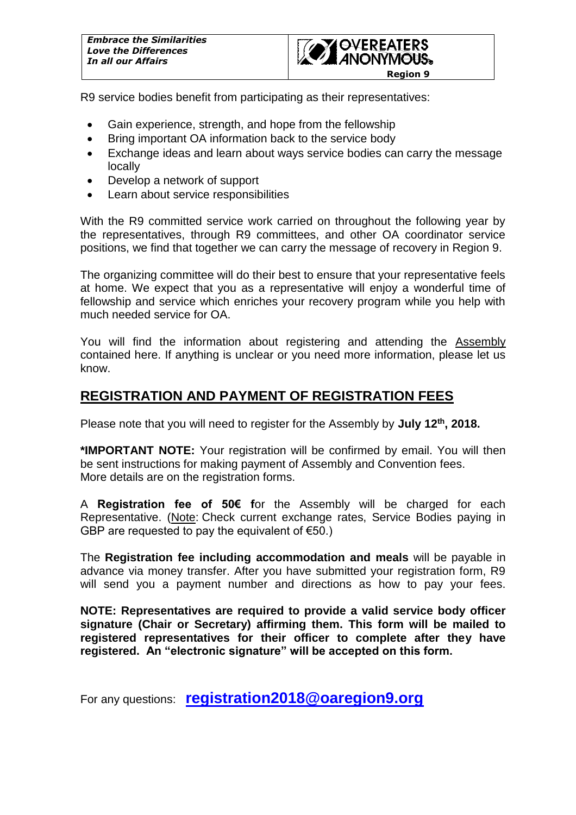

R9 service bodies benefit from participating as their representatives:

- Gain experience, strength, and hope from the fellowship
- Bring important OA information back to the service body
- Exchange ideas and learn about ways service bodies can carry the message locally
- Develop a network of support
- Learn about service responsibilities

With the R9 committed service work carried on throughout the following year by the representatives, through R9 committees, and other OA coordinator service positions, we find that together we can carry the message of recovery in Region 9.

The organizing committee will do their best to ensure that your representative feels at home. We expect that you as a representative will enjoy a wonderful time of fellowship and service which enriches your recovery program while you help with much needed service for OA.

You will find the information about registering and attending the Assembly contained here. If anything is unclear or you need more information, please let us know.

# **REGISTRATION AND PAYMENT OF REGISTRATION FEES**

Please note that you will need to register for the Assembly by **July 12th , 2018.**

**\*IMPORTANT NOTE:** Your registration will be confirmed by email. You will then be sent instructions for making payment of Assembly and Convention fees. More details are on the registration forms.

A **Registration fee of 50€ f**or the Assembly will be charged for each Representative. (Note: Check current exchange rates, Service Bodies paying in GBP are requested to pay the equivalent of  $\epsilon$ 50.)

The **Registration fee including accommodation and meals** will be payable in advance via money transfer. After you have submitted your registration form, R9 will send you a payment number and directions as how to pay your fees.

**NOTE: Representatives are required to provide a valid service body officer signature (Chair or Secretary) affirming them. This form will be mailed to registered representatives for their officer to complete after they have registered. An "electronic signature" will be accepted on this form.** 

For any questions: **[registration2018@oaregion9.org](mailto:registration2018@oaregion9.org)**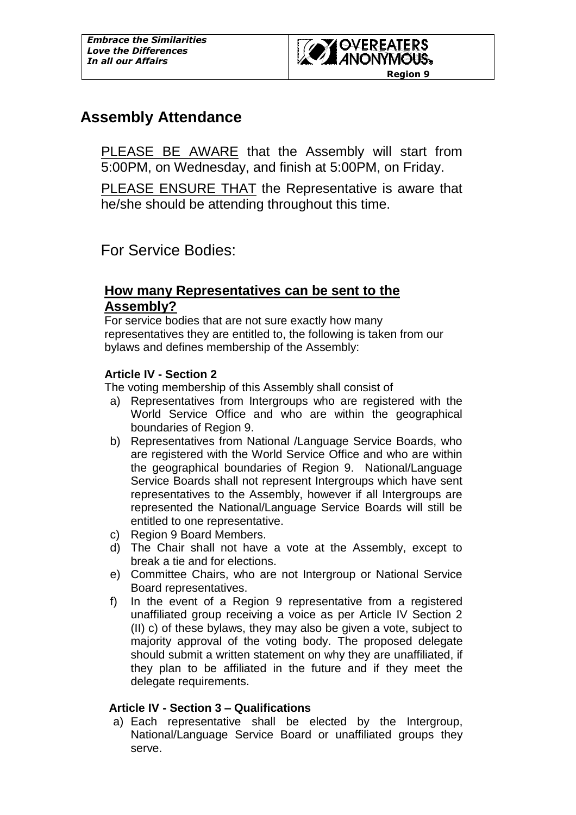

# **Assembly Attendance**

PLEASE BE AWARE that the Assembly will start from 5:00PM, on Wednesday, and finish at 5:00PM, on Friday.

PLEASE ENSURE THAT the Representative is aware that he/she should be attending throughout this time.

For Service Bodies:

## **How many Representatives can be sent to the Assembly?**

For service bodies that are not sure exactly how many representatives they are entitled to, the following is taken from our bylaws and defines membership of the Assembly:

### **Article IV - Section 2**

The voting membership of this Assembly shall consist of

- a) Representatives from Intergroups who are registered with the World Service Office and who are within the geographical boundaries of Region 9.
- b) Representatives from National /Language Service Boards, who are registered with the World Service Office and who are within the geographical boundaries of Region 9. National/Language Service Boards shall not represent Intergroups which have sent representatives to the Assembly, however if all Intergroups are represented the National/Language Service Boards will still be entitled to one representative.
- c) Region 9 Board Members.
- d) The Chair shall not have a vote at the Assembly, except to break a tie and for elections.
- e) Committee Chairs, who are not Intergroup or National Service Board representatives.
- f) In the event of a Region 9 representative from a registered unaffiliated group receiving a voice as per Article IV Section 2 (II) c) of these bylaws, they may also be given a vote, subject to majority approval of the voting body. The proposed delegate should submit a written statement on why they are unaffiliated, if they plan to be affiliated in the future and if they meet the delegate requirements.

#### **Article IV - Section 3 – Qualifications**

a) Each representative shall be elected by the Intergroup, National/Language Service Board or unaffiliated groups they serve.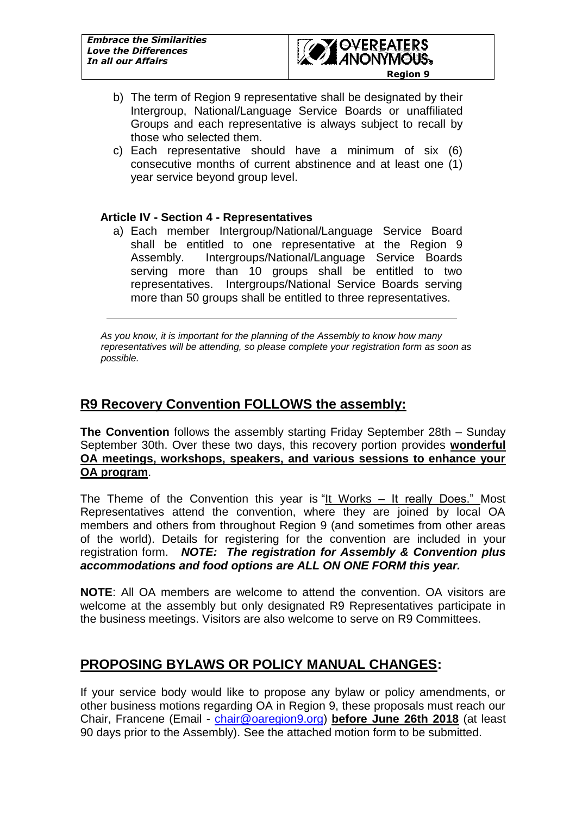

- b) The term of Region 9 representative shall be designated by their Intergroup, National/Language Service Boards or unaffiliated Groups and each representative is always subject to recall by those who selected them.
- c) Each representative should have a minimum of six (6) consecutive months of current abstinence and at least one (1) year service beyond group level.

#### **Article IV - Section 4 - Representatives**

a) Each member Intergroup/National/Language Service Board shall be entitled to one representative at the Region 9 Assembly. Intergroups/National/Language Service Boards serving more than 10 groups shall be entitled to two representatives. Intergroups/National Service Boards serving more than 50 groups shall be entitled to three representatives.

*As you know, it is important for the planning of the Assembly to know how many representatives will be attending, so please complete your registration form as soon as possible.*

# **R9 Recovery Convention FOLLOWS the assembly:**

**The Convention** follows the assembly starting Friday September 28th – Sunday September 30th. Over these two days, this recovery portion provides **wonderful OA meetings, workshops, speakers, and various sessions to enhance your OA program**.

The Theme of the Convention this year is "It Works – It really Does." Most Representatives attend the convention, where they are joined by local OA members and others from throughout Region 9 (and sometimes from other areas of the world). Details for registering for the convention are included in your registration form. *NOTE: The registration for Assembly & Convention plus accommodations and food options are ALL ON ONE FORM this year.*

**NOTE**: All OA members are welcome to attend the convention. OA visitors are welcome at the assembly but only designated R9 Representatives participate in the business meetings. Visitors are also welcome to serve on R9 Committees.

# **PROPOSING BYLAWS OR POLICY MANUAL CHANGES:**

If your service body would like to propose any bylaw or policy amendments, or other business motions regarding OA in Region 9, these proposals must reach our Chair, Francene (Email - [chair@oaregion9.org\)](mailto:bylaws@oaregion9.org) **before June 26th 2018** (at least 90 days prior to the Assembly). See the attached motion form to be submitted.